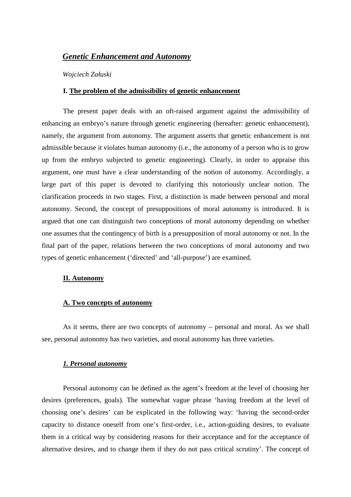# *Genetic Enhancement and Autonomy*

*Wojciech Załuski* 

### **I. The problem of the admissibility of genetic enhancement**

The present paper deals with an oft-raised argument against the admissibility of enhancing an embryo's nature through genetic engineering (hereafter: genetic enhancement), namely, the argument from autonomy. The argument asserts that genetic enhancement is not admissible because it violates human autonomy (i.e., the autonomy of a person who is to grow up from the embryo subjected to genetic engineering). Clearly, in order to appraise this argument, one must have a clear understanding of the notion of autonomy. Accordingly, a large part of this paper is devoted to clarifying this notoriously unclear notion. The clarification proceeds in two stages. First, a distinction is made between personal and moral autonomy. Second, the concept of presuppositions of moral autonomy is introduced. It is argued that one can distinguish two conceptions of moral autonomy depending on whether one assumes that the contingency of birth is a presupposition of moral autonomy or not. In the final part of the paper, relations between the two conceptions of moral autonomy and two types of genetic enhancement ('directed' and 'all-purpose') are examined.

### **II. Autonomy**

# **A. Two concepts of autonomy**

As it seems, there are two concepts of autonomy – personal and moral. As we shall see, personal autonomy has two varieties, and moral autonomy has three varieties.

#### *1. Personal autonomy*

Personal autonomy can be defined as the agent's freedom at the level of choosing her desires (preferences, goals). The somewhat vague phrase 'having freedom at the level of choosing one's desires' can be explicated in the following way: 'having the second-order capacity to distance oneself from one's first-order, i.e., action-guiding desires, to evaluate them in a critical way by considering reasons for their acceptance and for the acceptance of alternative desires, and to change them if they do not pass critical scrutiny'. The concept of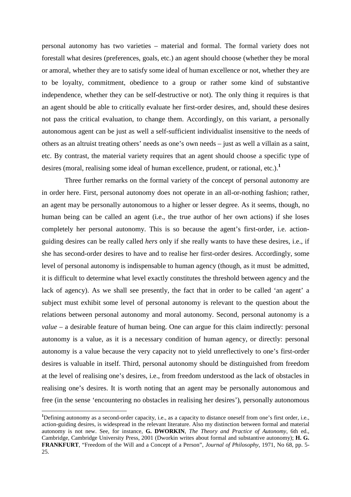personal autonomy has two varieties – material and formal. The formal variety does not forestall what desires (preferences, goals, etc.) an agent should choose (whether they be moral or amoral, whether they are to satisfy some ideal of human excellence or not, whether they are to be loyalty, commitment, obedience to a group or rather some kind of substantive independence, whether they can be self-destructive or not). The only thing it requires is that an agent should be able to critically evaluate her first-order desires, and, should these desires not pass the critical evaluation, to change them. Accordingly, on this variant, a personally autonomous agent can be just as well a self-sufficient individualist insensitive to the needs of others as an altruist treating others' needs as one's own needs – just as well a villain as a saint, etc. By contrast, the material variety requires that an agent should choose a specific type of desires (moral, realising some ideal of human excellence, prudent, or rational, etc.).**<sup>1</sup>**

 Three further remarks on the formal variety of the concept of personal autonomy are in order here. First, personal autonomy does not operate in an all-or-nothing fashion; rather, an agent may be personally autonomous to a higher or lesser degree. As it seems, though, no human being can be called an agent (i.e., the true author of her own actions) if she loses completely her personal autonomy. This is so because the agent's first-order, i.e. actionguiding desires can be really called *hers* only if she really wants to have these desires, i.e., if she has second-order desires to have and to realise her first-order desires. Accordingly, some level of personal autonomy is indispensable to human agency (though, as it must be admitted, it is difficult to determine what level exactly constitutes the threshold between agency and the lack of agency). As we shall see presently, the fact that in order to be called 'an agent' a subject must exhibit some level of personal autonomy is relevant to the question about the relations between personal autonomy and moral autonomy. Second, personal autonomy is a *value –* a desirable feature of human being. One can argue for this claim indirectly: personal autonomy is a value, as it is a necessary condition of human agency, or directly: personal autonomy is a value because the very capacity not to yield unreflectively to one's first-order desires is valuable in itself. Third, personal autonomy should be distinguished from freedom at the level of realising one's desires, i.e., from freedom understood as the lack of obstacles in realising one's desires. It is worth noting that an agent may be personally autonomous and free (in the sense 'encountering no obstacles in realising her desires'), personally autonomous

 $\overline{a}$ 

**<sup>1</sup>**Defining autonomy as a second-order capacity, i.e., as a capacity to distance oneself from one's first order, i.e., action-guiding desires, is widespread in the relevant literature. Also my distinction between formal and material autonomy is not new. See, for instance, **G. DWORKIN**, *The Theory and Practice of Autonomy*, 6th ed., Cambridge, Cambridge University Press, 2001 (Dworkin writes about formal and substantive autonomy); **H. G. FRANKFURT**, "Freedom of the Will and a Concept of a Person", *Journal of Philosophy*, 1971, No 68, pp. 5- 25.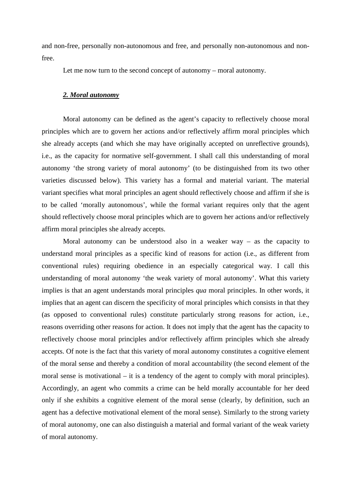and non-free, personally non-autonomous and free, and personally non-autonomous and nonfree.

Let me now turn to the second concept of autonomy – moral autonomy.

## *2. Moral autonomy*

Moral autonomy can be defined as the agent's capacity to reflectively choose moral principles which are to govern her actions and/or reflectively affirm moral principles which she already accepts (and which she may have originally accepted on unreflective grounds), i.e., as the capacity for normative self-government. I shall call this understanding of moral autonomy 'the strong variety of moral autonomy' (to be distinguished from its two other varieties discussed below). This variety has a formal and material variant. The material variant specifies what moral principles an agent should reflectively choose and affirm if she is to be called 'morally autonomous', while the formal variant requires only that the agent should reflectively choose moral principles which are to govern her actions and/or reflectively affirm moral principles she already accepts.

Moral autonomy can be understood also in a weaker way – as the capacity to understand moral principles as a specific kind of reasons for action (i.e., as different from conventional rules) requiring obedience in an especially categorical way. I call this understanding of moral autonomy 'the weak variety of moral autonomy'. What this variety implies is that an agent understands moral principles *qua* moral principles. In other words, it implies that an agent can discern the specificity of moral principles which consists in that they (as opposed to conventional rules) constitute particularly strong reasons for action, i.e., reasons overriding other reasons for action. It does not imply that the agent has the capacity to reflectively choose moral principles and/or reflectively affirm principles which she already accepts. Of note is the fact that this variety of moral autonomy constitutes a cognitive element of the moral sense and thereby a condition of moral accountability (the second element of the moral sense is motivational – it is a tendency of the agent to comply with moral principles). Accordingly, an agent who commits a crime can be held morally accountable for her deed only if she exhibits a cognitive element of the moral sense (clearly, by definition, such an agent has a defective motivational element of the moral sense). Similarly to the strong variety of moral autonomy, one can also distinguish a material and formal variant of the weak variety of moral autonomy.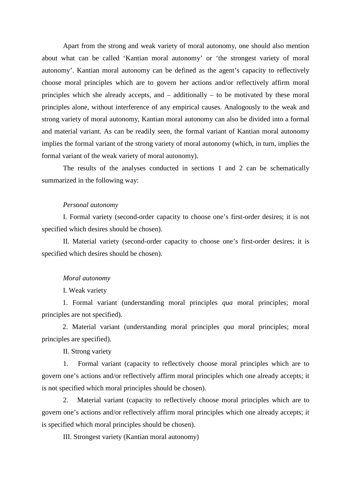Apart from the strong and weak variety of moral autonomy, one should also mention about what can be called 'Kantian moral autonomy' or 'the strongest variety of moral autonomy'. Kantian moral autonomy can be defined as the agent's capacity to reflectively choose moral principles which are to govern her actions and/or reflectively affirm moral principles which she already accepts, and – additionally – to be motivated by these moral principles alone, without interference of any empirical causes. Analogously to the weak and strong variety of moral autonomy, Kantian moral autonomy can also be divided into a formal and material variant. As can be readily seen, the formal variant of Kantian moral autonomy implies the formal variant of the strong variety of moral autonomy (which, in turn, implies the formal variant of the weak variety of moral autonomy).

The results of the analyses conducted in sections 1 and 2 can be schematically summarized in the following way:

### *Personal autonomy*

I. Formal variety (second-order capacity to choose one's first-order desires; it is not specified which desires should be chosen).

II. Material variety (second-order capacity to choose one's first-order desires; it is specified which desires should be chosen).

#### *Moral autonomy*

I. Weak variety

1. Formal variant (understanding moral principles *qua* moral principles; moral principles are not specified).

2. Material variant (understanding moral principles *qua* moral principles; moral principles are specified).

II. Strong variety

1. Formal variant (capacity to reflectively choose moral principles which are to govern one's actions and/or reflectively affirm moral principles which one already accepts; it is not specified which moral principles should be chosen).

2. Material variant (capacity to reflectively choose moral principles which are to govern one's actions and/or reflectively affirm moral principles which one already accepts; it is specified which moral principles should be chosen).

III. Strongest variety (Kantian moral autonomy)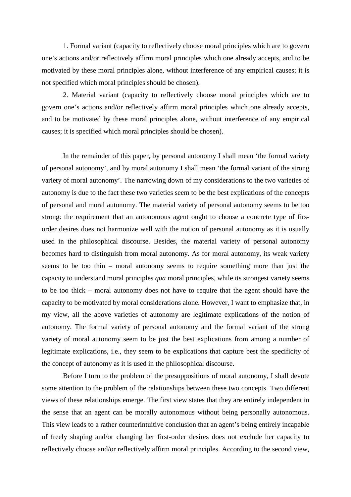1. Formal variant (capacity to reflectively choose moral principles which are to govern one's actions and/or reflectively affirm moral principles which one already accepts, and to be motivated by these moral principles alone, without interference of any empirical causes; it is not specified which moral principles should be chosen).

2. Material variant (capacity to reflectively choose moral principles which are to govern one's actions and/or reflectively affirm moral principles which one already accepts, and to be motivated by these moral principles alone, without interference of any empirical causes; it is specified which moral principles should be chosen).

In the remainder of this paper, by personal autonomy I shall mean 'the formal variety of personal autonomy', and by moral autonomy I shall mean 'the formal variant of the strong variety of moral autonomy'. The narrowing down of my considerations to the two varieties of autonomy is due to the fact these two varieties seem to be the best explications of the concepts of personal and moral autonomy. The material variety of personal autonomy seems to be too strong: the requirement that an autonomous agent ought to choose a concrete type of firsorder desires does not harmonize well with the notion of personal autonomy as it is usually used in the philosophical discourse. Besides, the material variety of personal autonomy becomes hard to distinguish from moral autonomy. As for moral autonomy, its weak variety seems to be too thin – moral autonomy seems to require something more than just the capacity to understand moral principles *qua* moral principles, while its strongest variety seems to be too thick – moral autonomy does not have to require that the agent should have the capacity to be motivated by moral considerations alone. However, I want to emphasize that, in my view, all the above varieties of autonomy are legitimate explications of the notion of autonomy. The formal variety of personal autonomy and the formal variant of the strong variety of moral autonomy seem to be just the best explications from among a number of legitimate explications, i.e., they seem to be explications that capture best the specificity of the concept of autonomy as it is used in the philosophical discourse.

Before I turn to the problem of the presuppositions of moral autonomy, I shall devote some attention to the problem of the relationships between these two concepts. Two different views of these relationships emerge. The first view states that they are entirely independent in the sense that an agent can be morally autonomous without being personally autonomous. This view leads to a rather counterintuitive conclusion that an agent's being entirely incapable of freely shaping and/or changing her first-order desires does not exclude her capacity to reflectively choose and/or reflectively affirm moral principles. According to the second view,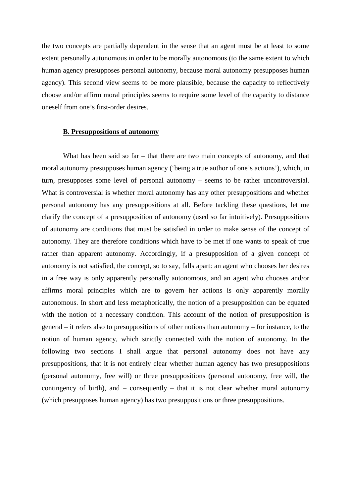the two concepts are partially dependent in the sense that an agent must be at least to some extent personally autonomous in order to be morally autonomous (to the same extent to which human agency presupposes personal autonomy, because moral autonomy presupposes human agency). This second view seems to be more plausible, because the capacity to reflectively choose and/or affirm moral principles seems to require some level of the capacity to distance oneself from one's first-order desires.

### **B. Presuppositions of autonomy**

What has been said so far – that there are two main concepts of autonomy, and that moral autonomy presupposes human agency ('being a true author of one's actions'), which, in turn, presupposes some level of personal autonomy – seems to be rather uncontroversial. What is controversial is whether moral autonomy has any other presuppositions and whether personal autonomy has any presuppositions at all. Before tackling these questions, let me clarify the concept of a presupposition of autonomy (used so far intuitively). Presuppositions of autonomy are conditions that must be satisfied in order to make sense of the concept of autonomy. They are therefore conditions which have to be met if one wants to speak of true rather than apparent autonomy. Accordingly, if a presupposition of a given concept of autonomy is not satisfied, the concept, so to say, falls apart: an agent who chooses her desires in a free way is only apparently personally autonomous, and an agent who chooses and/or affirms moral principles which are to govern her actions is only apparently morally autonomous. In short and less metaphorically, the notion of a presupposition can be equated with the notion of a necessary condition. This account of the notion of presupposition is general – it refers also to presuppositions of other notions than autonomy – for instance, to the notion of human agency, which strictly connected with the notion of autonomy. In the following two sections I shall argue that personal autonomy does not have any presuppositions, that it is not entirely clear whether human agency has two presuppositions (personal autonomy, free will) or three presuppositions (personal autonomy, free will, the contingency of birth), and – consequently – that it is not clear whether moral autonomy (which presupposes human agency) has two presuppositions or three presuppositions.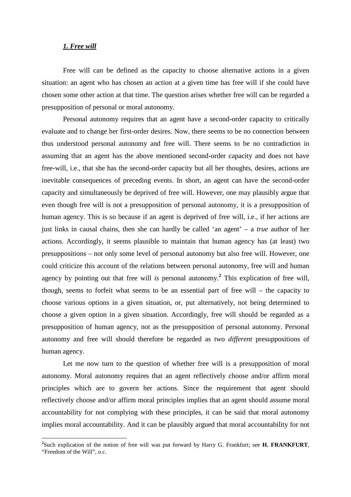## *1. Free will*

 $\overline{a}$ 

Free will can be defined as the capacity to choose alternative actions in a given situation: an agent who has chosen an action at a given time has free will if she could have chosen some other action at that time. The question arises whether free will can be regarded a presupposition of personal or moral autonomy.

Personal autonomy requires that an agent have a second-order capacity to critically evaluate and to change her first-order desires. Now, there seems to be no connection between thus understood personal autonomy and free will. There seems to be no contradiction in assuming that an agent has the above mentioned second-order capacity and does not have free-will, i.e., that she has the second-order capacity but all her thoughts, desires, actions are inevitable consequences of preceding events. In short, an agent can have the second-order capacity and simultaneously be deprived of free will. However, one may plausibly argue that even though free will is not a presupposition of personal autonomy, it is a presupposition of human agency. This is so because if an agent is deprived of free will, i.e., if her actions are just links in causal chains, then she can hardly be called 'an agent' – a *true* author of her actions. Accordingly, it seems plausible to maintain that human agency has (at least) two presuppositions – not only some level of personal autonomy but also free will. However, one could criticize this account of the relations between personal autonomy, free will and human agency by pointing out that free will *is* personal autonomy.**<sup>2</sup>** This explication of free will, though, seems to forfeit what seems to be an essential part of free will – the capacity to choose various options in a given situation, or, put alternatively, not being determined to choose a given option in a given situation. Accordingly, free will should be regarded as a presupposition of human agency, not as the presupposition of personal autonomy. Personal autonomy and free will should therefore be regarded as two *different* presuppositions of human agency.

Let me now turn to the question of whether free will is a presupposition of moral autonomy. Moral autonomy requires that an agent reflectively choose and/or affirm moral principles which are to govern her actions. Since the requirement that agent should reflectively choose and/or affirm moral principles implies that an agent should assume moral accountability for not complying with these principles, it can be said that moral autonomy implies moral accountability. And it can be plausibly argued that moral accountability for not

**<sup>2</sup>** Such explication of the notion of free will was put forward by Harry G. Frankfurt; see **H. FRANKFURT**, "Freedom of the Will"*, o.c*.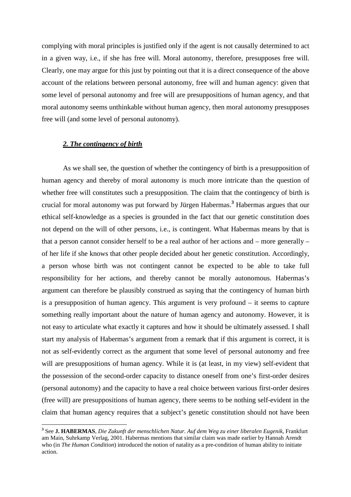complying with moral principles is justified only if the agent is not causally determined to act in a given way, i.e., if she has free will. Moral autonomy, therefore, presupposes free will. Clearly, one may argue for this just by pointing out that it is a direct consequence of the above account of the relations between personal autonomy, free will and human agency: given that some level of personal autonomy and free will are presuppositions of human agency, and that moral autonomy seems unthinkable without human agency, then moral autonomy presupposes free will (and some level of personal autonomy).

# *2. The contingency of birth*

As we shall see, the question of whether the contingency of birth is a presupposition of human agency and thereby of moral autonomy is much more intricate than the question of whether free will constitutes such a presupposition. The claim that the contingency of birth is crucial for moral autonomy was put forward by Jürgen Habermas.**<sup>3</sup>** Habermas argues that our ethical self-knowledge as a species is grounded in the fact that our genetic constitution does not depend on the will of other persons, i.e., is contingent. What Habermas means by that is that a person cannot consider herself to be a real author of her actions and – more generally – of her life if she knows that other people decided about her genetic constitution. Accordingly, a person whose birth was not contingent cannot be expected to be able to take full responsibility for her actions, and thereby cannot be morally autonomous. Habermas's argument can therefore be plausibly construed as saying that the contingency of human birth is a presupposition of human agency. This argument is very profound – it seems to capture something really important about the nature of human agency and autonomy. However, it is not easy to articulate what exactly it captures and how it should be ultimately assessed. I shall start my analysis of Habermas's argument from a remark that if this argument is correct, it is not as self-evidently correct as the argument that some level of personal autonomy and free will are presuppositions of human agency. While it is (at least, in my view) self-evident that the possession of the second-order capacity to distance oneself from one's first-order desires (personal autonomy) and the capacity to have a real choice between various first-order desires (free will) are presuppositions of human agency, there seems to be nothing self-evident in the claim that human agency requires that a subject's genetic constitution should not have been

 **3** See **J. HABERMAS**, *Die Zukunft der menschlichen Natur. Auf dem Weg zu einer liberalen Eugenik*, Frankfurt am Main, Suhrkamp Verlag, 2001. Habermas mentions that similar claim was made earlier by Hannah Arendt who (in *The Human Condition*) introduced the notion of natality as a pre-condition of human ability to initiate action.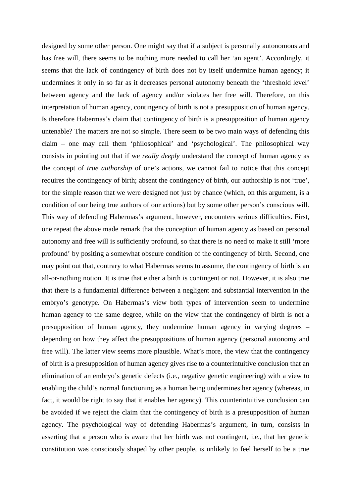designed by some other person. One might say that if a subject is personally autonomous and has free will, there seems to be nothing more needed to call her 'an agent'. Accordingly, it seems that the lack of contingency of birth does not by itself undermine human agency; it undermines it only in so far as it decreases personal autonomy beneath the 'threshold level' between agency and the lack of agency and/or violates her free will. Therefore, on this interpretation of human agency, contingency of birth is not a presupposition of human agency. Is therefore Habermas's claim that contingency of birth is a presupposition of human agency untenable? The matters are not so simple. There seem to be two main ways of defending this claim – one may call them 'philosophical' and 'psychological'. The philosophical way consists in pointing out that if we *really deeply* understand the concept of human agency as the concept of *true authorship* of one's actions, we cannot fail to notice that this concept requires the contingency of birth; absent the contingency of birth, our authorship is not 'true', for the simple reason that we were designed not just by chance (which, on this argument, is a condition of our being true authors of our actions) but by some other person's conscious will. This way of defending Habermas's argument, however, encounters serious difficulties. First, one repeat the above made remark that the conception of human agency as based on personal autonomy and free will is sufficiently profound, so that there is no need to make it still 'more profound' by positing a somewhat obscure condition of the contingency of birth. Second, one may point out that, contrary to what Habermas seems to assume, the contingency of birth is an all-or-nothing notion. It is true that either a birth is contingent or not. However, it is also true that there is a fundamental difference between a negligent and substantial intervention in the embryo's genotype. On Habermas's view both types of intervention seem to undermine human agency to the same degree, while on the view that the contingency of birth is not a presupposition of human agency, they undermine human agency in varying degrees – depending on how they affect the presuppositions of human agency (personal autonomy and free will). The latter view seems more plausible. What's more, the view that the contingency of birth is a presupposition of human agency gives rise to a counterintuitive conclusion that an elimination of an embryo's genetic defects (i.e., negative genetic engineering) with a view to enabling the child's normal functioning as a human being undermines her agency (whereas, in fact, it would be right to say that it enables her agency). This counterintuitive conclusion can be avoided if we reject the claim that the contingency of birth is a presupposition of human agency. The psychological way of defending Habermas's argument, in turn, consists in asserting that a person who is aware that her birth was not contingent, i.e., that her genetic constitution was consciously shaped by other people, is unlikely to feel herself to be a true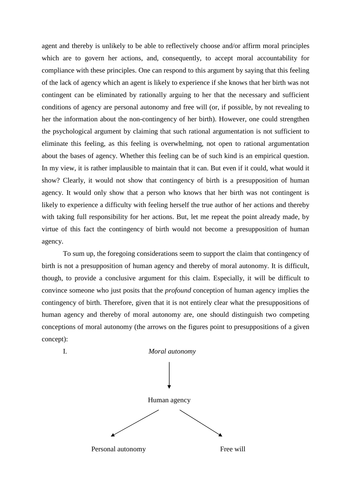agent and thereby is unlikely to be able to reflectively choose and/or affirm moral principles which are to govern her actions, and, consequently, to accept moral accountability for compliance with these principles. One can respond to this argument by saying that this feeling of the lack of agency which an agent is likely to experience if she knows that her birth was not contingent can be eliminated by rationally arguing to her that the necessary and sufficient conditions of agency are personal autonomy and free will (or, if possible, by not revealing to her the information about the non-contingency of her birth). However, one could strengthen the psychological argument by claiming that such rational argumentation is not sufficient to eliminate this feeling, as this feeling is overwhelming, not open to rational argumentation about the bases of agency. Whether this feeling can be of such kind is an empirical question. In my view, it is rather implausible to maintain that it can. But even if it could, what would it show? Clearly, it would not show that contingency of birth is a presupposition of human agency. It would only show that a person who knows that her birth was not contingent is likely to experience a difficulty with feeling herself the true author of her actions and thereby with taking full responsibility for her actions. But, let me repeat the point already made, by virtue of this fact the contingency of birth would not become a presupposition of human agency.

To sum up, the foregoing considerations seem to support the claim that contingency of birth is not a presupposition of human agency and thereby of moral autonomy. It is difficult, though, to provide a conclusive argument for this claim. Especially, it will be difficult to convince someone who just posits that the *profound* conception of human agency implies the contingency of birth. Therefore, given that it is not entirely clear what the presuppositions of human agency and thereby of moral autonomy are, one should distinguish two competing conceptions of moral autonomy (the arrows on the figures point to presuppositions of a given concept):

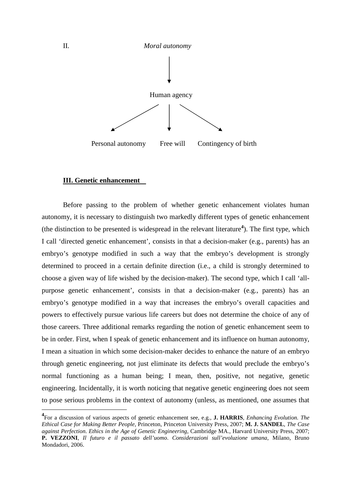

### **III. Genetic enhancement**

Before passing to the problem of whether genetic enhancement violates human autonomy, it is necessary to distinguish two markedly different types of genetic enhancement (the distinction to be presented is widespread in the relevant literature**<sup>4</sup>** ). The first type, which I call 'directed genetic enhancement', consists in that a decision-maker (e.g., parents) has an embryo's genotype modified in such a way that the embryo's development is strongly determined to proceed in a certain definite direction (i.e., a child is strongly determined to choose a given way of life wished by the decision-maker). The second type, which I call 'allpurpose genetic enhancement', consists in that a decision-maker (e.g., parents) has an embryo's genotype modified in a way that increases the embryo's overall capacities and powers to effectively pursue various life careers but does not determine the choice of any of those careers. Three additional remarks regarding the notion of genetic enhancement seem to be in order. First, when I speak of genetic enhancement and its influence on human autonomy, I mean a situation in which some decision-maker decides to enhance the nature of an embryo through genetic engineering, not just eliminate its defects that would preclude the embryo's normal functioning as a human being; I mean, then, positive, not negative, genetic engineering. Incidentally, it is worth noticing that negative genetic engineering does not seem to pose serious problems in the context of autonomy (unless, as mentioned, one assumes that

 $\overline{a}$ 

**<sup>4</sup>** For a discussion of various aspects of genetic enhancement see, e.g., **J. HARRIS**, *Enhancing Evolution. The Ethical Case for Making Better People*, Princeton, Princeton University Press, 2007; **M. J. SANDEL**, *The Case against Perfection*. *Ethics in the Age of Genetic Engineering*, Cambridge MA., Harvard University Press, 2007; **P. VEZZONI**, *Il futuro e il passato dell'uomo*. *Considerazioni sull'evoluzione umana*, Milano, Bruno Mondadori, 2006.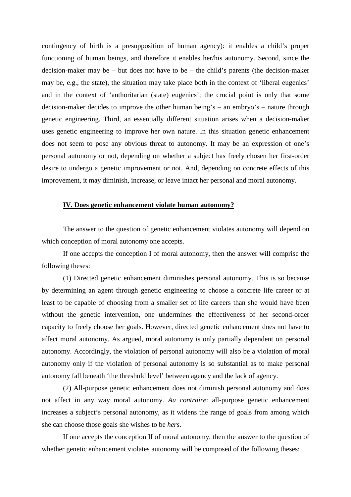contingency of birth is a presupposition of human agency): it enables a child's proper functioning of human beings, and therefore it enables her/his autonomy. Second, since the decision-maker may be – but does not have to be – the child's parents (the decision-maker may be, e.g., the state), the situation may take place both in the context of 'liberal eugenics' and in the context of 'authoritarian (state) eugenics'; the crucial point is only that some decision-maker decides to improve the other human being's – an embryo's – nature through genetic engineering. Third, an essentially different situation arises when a decision-maker uses genetic engineering to improve her own nature. In this situation genetic enhancement does not seem to pose any obvious threat to autonomy. It may be an expression of one's personal autonomy or not, depending on whether a subject has freely chosen her first-order desire to undergo a genetic improvement or not. And, depending on concrete effects of this improvement, it may diminish, increase, or leave intact her personal and moral autonomy.

### **IV. Does genetic enhancement violate human autonomy?**

The answer to the question of genetic enhancement violates autonomy will depend on which conception of moral autonomy one accepts.

If one accepts the conception I of moral autonomy, then the answer will comprise the following theses:

(1) Directed genetic enhancement diminishes personal autonomy. This is so because by determining an agent through genetic engineering to choose a concrete life career or at least to be capable of choosing from a smaller set of life careers than she would have been without the genetic intervention, one undermines the effectiveness of her second-order capacity to freely choose her goals. However, directed genetic enhancement does not have to affect moral autonomy. As argued, moral autonomy is only partially dependent on personal autonomy. Accordingly, the violation of personal autonomy will also be a violation of moral autonomy only if the violation of personal autonomy is so substantial as to make personal autonomy fall beneath 'the threshold level' between agency and the lack of agency.

(2) All-purpose genetic enhancement does not diminish personal autonomy and does not affect in any way moral autonomy. *Au contraire*: all-purpose genetic enhancement increases a subject's personal autonomy, as it widens the range of goals from among which she can choose those goals she wishes to be *hers*.

If one accepts the conception II of moral autonomy, then the answer to the question of whether genetic enhancement violates autonomy will be composed of the following theses: